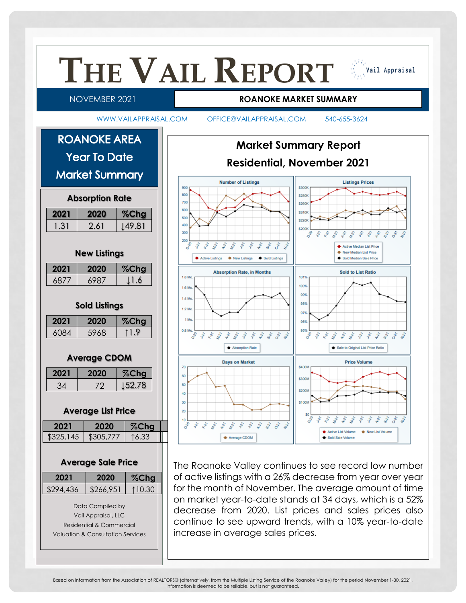

Based on information from the Association of REALTORS® (alternatively, from the Multiple Listing Service of the Roanoke Valley) for the period November 1-30, 2021. Information is deemed to be reliable, but is not guaranteed.